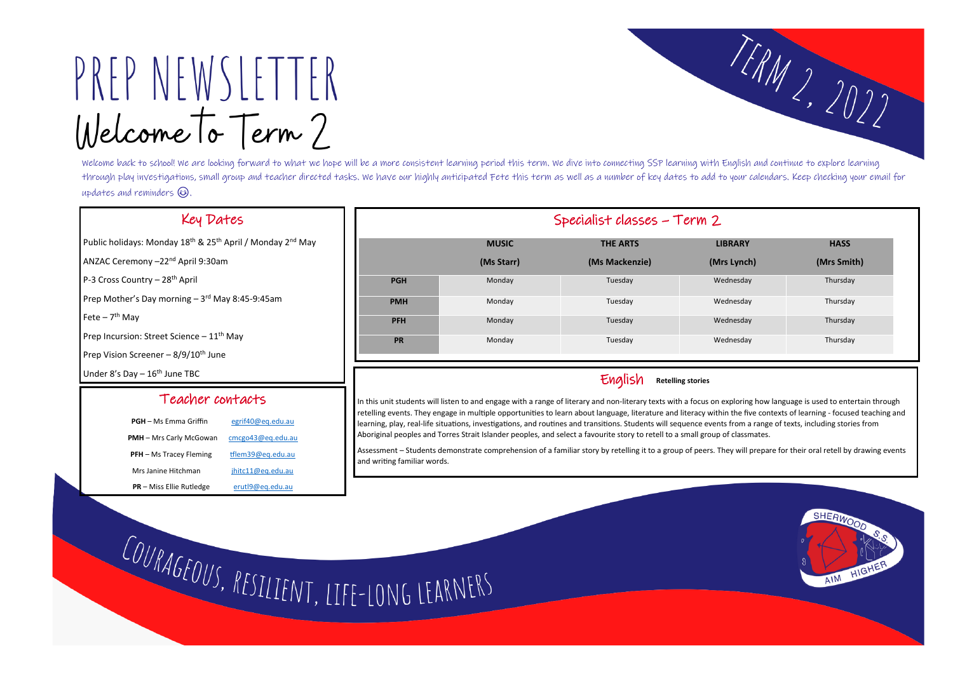# PREP NEWSLETTER Welcome To Term?

Welcome back to school! We are looking forward to what we hope will be a more consistent learning period this term. We dive into connecting SSP learning with English and continue to explore learning through play investigations, small group and teacher directed tasks. We have our highly anticipated Fete this term as well as a number of key dates to add to your calendars. Keep checking your email for updates and reminders  $\circled{s}$ .

## Key Dates

Public holidays: Monday 18<sup>th</sup> & 25<sup>th</sup> April / Monday 2<sup>nd</sup> May

ANZAC Ceremony –22nd April 9:30am

P-3 Cross Country - 28<sup>th</sup> April

Prep Mother's Day morning - 3<sup>rd</sup> May 8:45-9:45am

Fete – 7<sup>th</sup> May

Prep Incursion: Street Science  $-11<sup>th</sup>$  May

Prep Vision Screener –  $8/9/10^{th}$  June

Under  $8'$ s Day  $-16$ <sup>th</sup> June TBC

| Specialist classes - Term 2 |              |                 |                |             |  |
|-----------------------------|--------------|-----------------|----------------|-------------|--|
|                             | <b>MUSIC</b> | <b>THE ARTS</b> | <b>LIBRARY</b> | <b>HASS</b> |  |
|                             | (Ms Starr)   | (Ms Mackenzie)  | (Mrs Lynch)    | (Mrs Smith) |  |
| <b>PGH</b>                  | Monday       | Tuesday         | Wednesday      | Thursday    |  |
| <b>PMH</b>                  | Monday       | Tuesday         | Wednesday      | Thursday    |  |
| <b>PFH</b>                  | Monday       | Tuesday         | Wednesday      | Thursday    |  |
| <b>PR</b>                   | Monday       | Tuesday         | Wednesday      | Thursday    |  |

## Teacher contacts

| <b>PGH</b> – Ms Emma Griffin    | egrif40@eq.edu.au |  |
|---------------------------------|-------------------|--|
| <b>PMH</b> - Mrs Carly McGowan  | cmcgo43@eq.edu.au |  |
| <b>PFH</b> – Ms Tracey Fleming  | tflem39@eg.edu.au |  |
| Mrs Janine Hitchman             | jhitc11@eq.edu.au |  |
| <b>PR</b> – Miss Ellie Rutledge | erutl9@eq.edu.au  |  |

## English **Retelling stories**

In this unit students will listen to and engage with a range of literary and non-literary texts with a focus on exploring how language is used to entertain through retelling events. They engage in multiple opportunities to learn about language, literature and literacy within the five contexts of learning - focused teaching and learning, play, real-life situations, investigations, and routines and transitions. Students will sequence events from a range of texts, including stories from Aboriginal peoples and Torres Strait Islander peoples, and select a favourite story to retell to a small group of classmates.

Assessment – Students demonstrate comprehension of a familiar story by retelling it to a group of peers. They will prepare for their oral retell by drawing events and writing familiar words.

COURAGEOUS, RESILIENT, LIFE-LONG LEARNERS